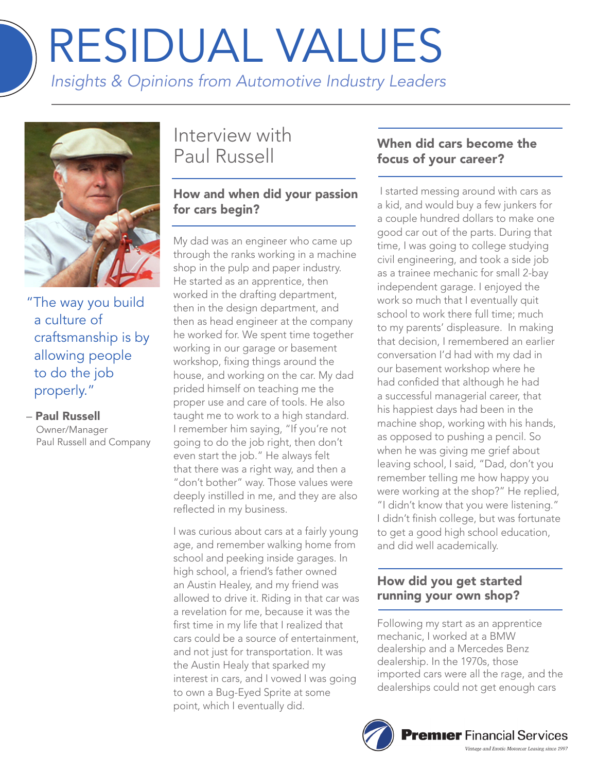# RESIDUAL VALUES

*Insights & Opinions from Automotive Industry Leaders*



"The way you build a culture of craftsmanship is by allowing people to do the job properly."

#### – Paul Russell

Owner/Manager Paul Russell and Company

# Interview with Paul Russell

# How and when did your passion for cars begin?

My dad was an engineer who came up through the ranks working in a machine shop in the pulp and paper industry. He started as an apprentice, then worked in the drafting department, then in the design department, and then as head engineer at the company he worked for. We spent time together working in our garage or basement workshop, fixing things around the house, and working on the car. My dad prided himself on teaching me the proper use and care of tools. He also taught me to work to a high standard. I remember him saying, "If you're not going to do the job right, then don't even start the job." He always felt that there was a right way, and then a "don't bother" way. Those values were deeply instilled in me, and they are also reflected in my business.

I was curious about cars at a fairly young age, and remember walking home from school and peeking inside garages. In high school, a friend's father owned an Austin Healey, and my friend was allowed to drive it. Riding in that car was a revelation for me, because it was the first time in my life that I realized that cars could be a source of entertainment, and not just for transportation. It was the Austin Healy that sparked my interest in cars, and I vowed I was going to own a Bug-Eyed Sprite at some point, which I eventually did.

# When did cars become the focus of your career?

 I started messing around with cars as a kid, and would buy a few junkers for a couple hundred dollars to make one good car out of the parts. During that time, I was going to college studying civil engineering, and took a side job as a trainee mechanic for small 2-bay independent garage. I enjoyed the work so much that I eventually quit school to work there full time; much to my parents' displeasure. In making that decision, I remembered an earlier conversation I'd had with my dad in our basement workshop where he had confided that although he had a successful managerial career, that his happiest days had been in the machine shop, working with his hands, as opposed to pushing a pencil. So when he was giving me grief about leaving school, I said, "Dad, don't you remember telling me how happy you were working at the shop?" He replied, "I didn't know that you were listening." I didn't finish college, but was fortunate to get a good high school education, and did well academically.

# How did you get started running your own shop?

Following my start as an apprentice mechanic, I worked at a BMW dealership and a Mercedes Benz dealership. In the 1970s, those imported cars were all the rage, and the dealerships could not get enough cars

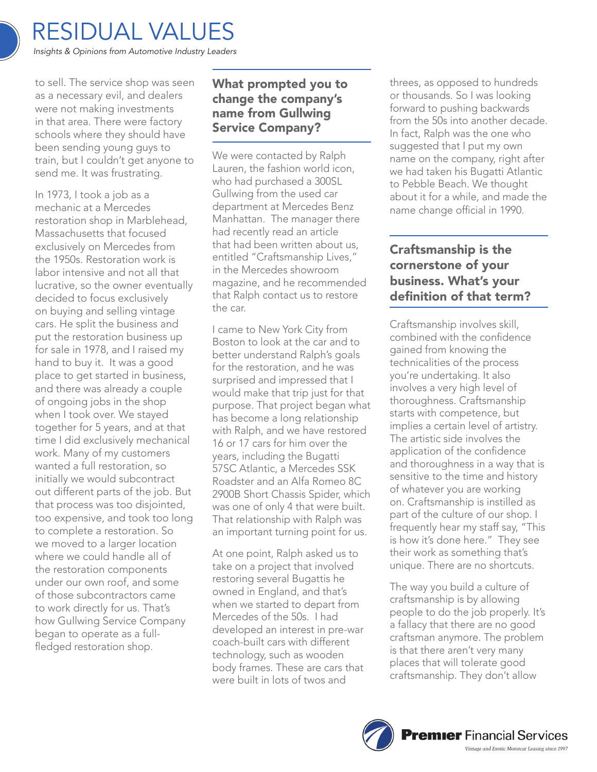to sell. The service shop was seen as a necessary evil, and dealers were not making investments in that area. There were factory schools where they should have been sending young guys to train, but I couldn't get anyone to send me. It was frustrating.

In 1973, I took a job as a mechanic at a Mercedes restoration shop in Marblehead, Massachusetts that focused exclusively on Mercedes from the 1950s. Restoration work is labor intensive and not all that lucrative, so the owner eventually decided to focus exclusively on buying and selling vintage cars. He split the business and put the restoration business up for sale in 1978, and I raised my hand to buy it. It was a good place to get started in business, and there was already a couple of ongoing jobs in the shop when I took over. We stayed together for 5 years, and at that time I did exclusively mechanical work. Many of my customers wanted a full restoration, so initially we would subcontract out different parts of the job. But that process was too disjointed, too expensive, and took too long to complete a restoration. So we moved to a larger location where we could handle all of the restoration components under our own roof, and some of those subcontractors came to work directly for us. That's how Gullwing Service Company began to operate as a fullfledged restoration shop.

# What prompted you to change the company's name from Gullwing Service Company?

We were contacted by Ralph Lauren, the fashion world icon, who had purchased a 300SL Gullwing from the used car department at Mercedes Benz Manhattan. The manager there had recently read an article that had been written about us, entitled "Craftsmanship Lives," in the Mercedes showroom magazine, and he recommended that Ralph contact us to restore the car.

I came to New York City from Boston to look at the car and to better understand Ralph's goals for the restoration, and he was surprised and impressed that I would make that trip just for that purpose. That project began what has become a long relationship with Ralph, and we have restored 16 or 17 cars for him over the years, including the Bugatti 57SC Atlantic, a Mercedes SSK Roadster and an Alfa Romeo 8C 2900B Short Chassis Spider, which was one of only 4 that were built. That relationship with Ralph was an important turning point for us.

At one point, Ralph asked us to take on a project that involved restoring several Bugattis he owned in England, and that's when we started to depart from Mercedes of the 50s. I had developed an interest in pre-war coach-built cars with different technology, such as wooden body frames. These are cars that were built in lots of twos and

threes, as opposed to hundreds or thousands. So I was looking forward to pushing backwards from the 50s into another decade. In fact, Ralph was the one who suggested that I put my own name on the company, right after we had taken his Bugatti Atlantic to Pebble Beach. We thought about it for a while, and made the name change official in 1990.

# Craftsmanship is the cornerstone of your business. What's your definition of that term?

Craftsmanship involves skill, combined with the confidence gained from knowing the technicalities of the process you're undertaking. It also involves a very high level of thoroughness. Craftsmanship starts with competence, but implies a certain level of artistry. The artistic side involves the application of the confidence and thoroughness in a way that is sensitive to the time and history of whatever you are working on. Craftsmanship is instilled as part of the culture of our shop. I frequently hear my staff say, "This is how it's done here." They see their work as something that's unique. There are no shortcuts.

The way you build a culture of craftsmanship is by allowing people to do the job properly. It's a fallacy that there are no good craftsman anymore. The problem is that there aren't very many places that will tolerate good craftsmanship. They don't allow

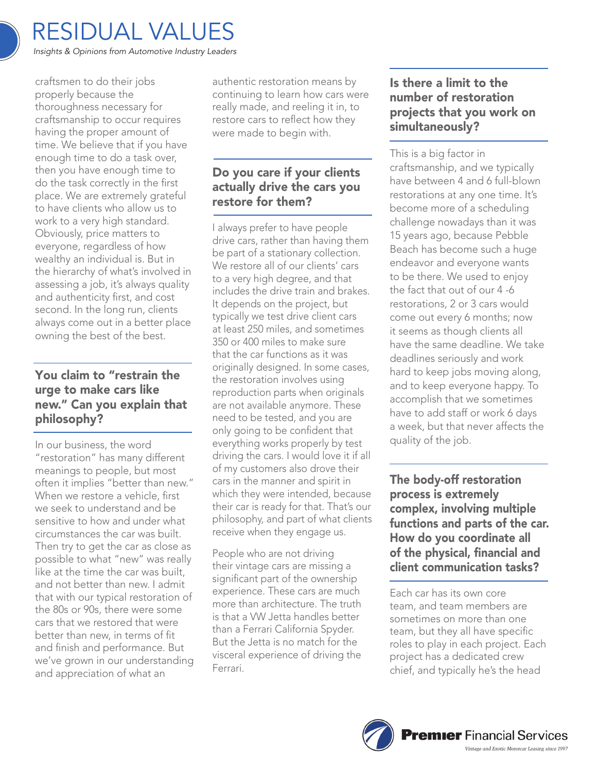

craftsmen to do their jobs properly because the thoroughness necessary for craftsmanship to occur requires having the proper amount of time. We believe that if you have enough time to do a task over, then you have enough time to do the task correctly in the first place. We are extremely grateful to have clients who allow us to work to a very high standard. Obviously, price matters to everyone, regardless of how wealthy an individual is. But in the hierarchy of what's involved in assessing a job, it's always quality and authenticity first, and cost second. In the long run, clients always come out in a better place owning the best of the best.

#### You claim to "restrain the urge to make cars like new." Can you explain that philosophy?

In our business, the word "restoration" has many different meanings to people, but most often it implies "better than new." When we restore a vehicle, first we seek to understand and be sensitive to how and under what circumstances the car was built. Then try to get the car as close as possible to what "new" was really like at the time the car was built, and not better than new. I admit that with our typical restoration of the 80s or 90s, there were some cars that we restored that were better than new, in terms of fit and finish and performance. But we've grown in our understanding and appreciation of what an

authentic restoration means by continuing to learn how cars were really made, and reeling it in, to restore cars to reflect how they were made to begin with.

#### Do you care if your clients actually drive the cars you restore for them?

I always prefer to have people drive cars, rather than having them be part of a stationary collection. We restore all of our clients' cars to a very high degree, and that includes the drive train and brakes. It depends on the project, but typically we test drive client cars at least 250 miles, and sometimes 350 or 400 miles to make sure that the car functions as it was originally designed. In some cases, the restoration involves using reproduction parts when originals are not available anymore. These need to be tested, and you are only going to be confident that everything works properly by test driving the cars. I would love it if all of my customers also drove their cars in the manner and spirit in which they were intended, because their car is ready for that. That's our philosophy, and part of what clients receive when they engage us.

People who are not driving their vintage cars are missing a significant part of the ownership experience. These cars are much more than architecture. The truth is that a VW Jetta handles better than a Ferrari California Spyder. But the Jetta is no match for the visceral experience of driving the Ferrari.

#### Is there a limit to the number of restoration projects that you work on simultaneously?

This is a big factor in craftsmanship, and we typically have between 4 and 6 full-blown restorations at any one time. It's become more of a scheduling challenge nowadays than it was 15 years ago, because Pebble Beach has become such a huge endeavor and everyone wants to be there. We used to enjoy the fact that out of our 4 -6 restorations, 2 or 3 cars would come out every 6 months; now it seems as though clients all have the same deadline. We take deadlines seriously and work hard to keep jobs moving along, and to keep everyone happy. To accomplish that we sometimes have to add staff or work 6 days a week, but that never affects the quality of the job.

The body-off restoration process is extremely complex, involving multiple functions and parts of the car. How do you coordinate all of the physical, financial and client communication tasks?

Each car has its own core team, and team members are sometimes on more than one team, but they all have specific roles to play in each project. Each project has a dedicated crew chief, and typically he's the head

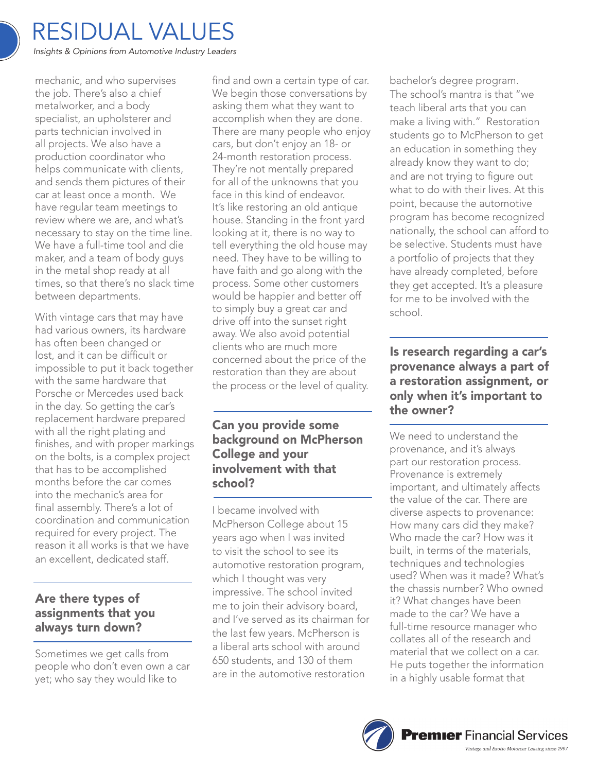

mechanic, and who supervises the job. There's also a chief metalworker, and a body specialist, an upholsterer and parts technician involved in all projects. We also have a production coordinator who helps communicate with clients, and sends them pictures of their car at least once a month. We have regular team meetings to review where we are, and what's necessary to stay on the time line. We have a full-time tool and die maker, and a team of body guys in the metal shop ready at all times, so that there's no slack time between departments.

With vintage cars that may have had various owners, its hardware has often been changed or lost, and it can be difficult or impossible to put it back together with the same hardware that Porsche or Mercedes used back in the day. So getting the car's replacement hardware prepared with all the right plating and finishes, and with proper markings on the bolts, is a complex project that has to be accomplished months before the car comes into the mechanic's area for final assembly. There's a lot of coordination and communication required for every project. The reason it all works is that we have an excellent, dedicated staff.

#### Are there types of assignments that you always turn down?

Sometimes we get calls from people who don't even own a car yet; who say they would like to

find and own a certain type of car. We begin those conversations by asking them what they want to accomplish when they are done. There are many people who enjoy cars, but don't enjoy an 18- or 24-month restoration process. They're not mentally prepared for all of the unknowns that you face in this kind of endeavor. It's like restoring an old antique house. Standing in the front yard looking at it, there is no way to tell everything the old house may need. They have to be willing to have faith and go along with the process. Some other customers would be happier and better off to simply buy a great car and drive off into the sunset right away. We also avoid potential clients who are much more concerned about the price of the restoration than they are about the process or the level of quality.

#### Can you provide some background on McPherson College and your involvement with that school?

I became involved with McPherson College about 15 years ago when I was invited to visit the school to see its automotive restoration program, which I thought was very impressive. The school invited me to join their advisory board, and I've served as its chairman for the last few years. McPherson is a liberal arts school with around 650 students, and 130 of them are in the automotive restoration

bachelor's degree program. The school's mantra is that "we teach liberal arts that you can make a living with." Restoration students go to McPherson to get an education in something they already know they want to do; and are not trying to figure out what to do with their lives. At this point, because the automotive program has become recognized nationally, the school can afford to be selective. Students must have a portfolio of projects that they have already completed, before they get accepted. It's a pleasure for me to be involved with the school.

#### Is research regarding a car's provenance always a part of a restoration assignment, or only when it's important to the owner?

We need to understand the provenance, and it's always part our restoration process. Provenance is extremely important, and ultimately affects the value of the car. There are diverse aspects to provenance: How many cars did they make? Who made the car? How was it built, in terms of the materials, techniques and technologies used? When was it made? What's the chassis number? Who owned it? What changes have been made to the car? We have a full-time resource manager who collates all of the research and material that we collect on a car. He puts together the information in a highly usable format that

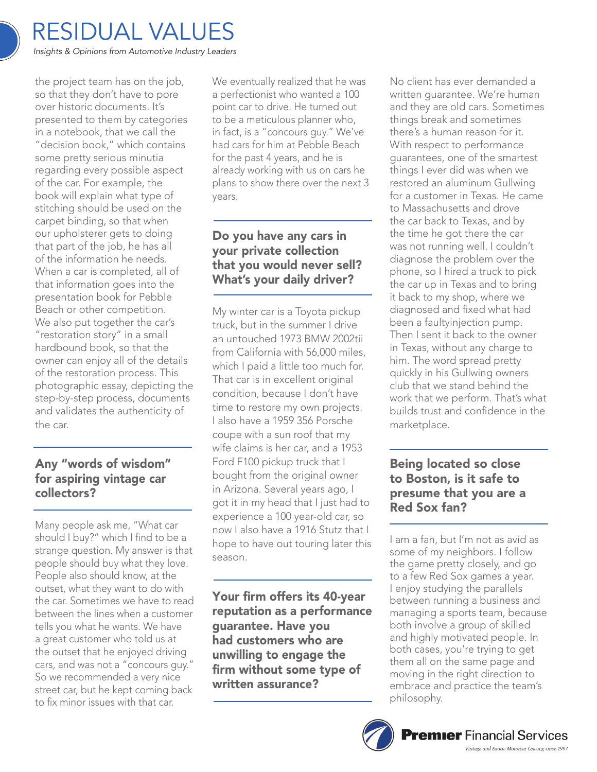

the project team has on the job, so that they don't have to pore over historic documents. It's presented to them by categories in a notebook, that we call the "decision book," which contains some pretty serious minutia regarding every possible aspect of the car. For example, the book will explain what type of stitching should be used on the carpet binding, so that when our upholsterer gets to doing that part of the job, he has all of the information he needs. When a car is completed, all of that information goes into the presentation book for Pebble Beach or other competition. We also put together the car's "restoration story" in a small hardbound book, so that the owner can enjoy all of the details of the restoration process. This photographic essay, depicting the step-by-step process, documents and validates the authenticity of the car.

## Any "words of wisdom" for aspiring vintage car collectors?

Many people ask me, "What car should I buy?" which I find to be a strange question. My answer is that people should buy what they love. People also should know, at the outset, what they want to do with the car. Sometimes we have to read between the lines when a customer tells you what he wants. We have a great customer who told us at the outset that he enjoyed driving cars, and was not a "concours guy." So we recommended a very nice street car, but he kept coming back to fix minor issues with that car.

We eventually realized that he was a perfectionist who wanted a 100 point car to drive. He turned out to be a meticulous planner who, in fact, is a "concours guy." We've had cars for him at Pebble Beach for the past 4 years, and he is already working with us on cars he plans to show there over the next 3 years.

## Do you have any cars in your private collection that you would never sell? What's your daily driver?

My winter car is a Toyota pickup truck, but in the summer I drive an untouched 1973 BMW 2002tii from California with 56,000 miles, which I paid a little too much for. That car is in excellent original condition, because I don't have time to restore my own projects. I also have a 1959 356 Porsche coupe with a sun roof that my wife claims is her car, and a 1953 Ford F100 pickup truck that I bought from the original owner in Arizona. Several years ago, I got it in my head that I just had to experience a 100 year-old car, so now I also have a 1916 Stutz that I hope to have out touring later this season.

Your firm offers its 40-year reputation as a performance guarantee. Have you had customers who are unwilling to engage the firm without some type of written assurance?

No client has ever demanded a written guarantee. We're human and they are old cars. Sometimes things break and sometimes there's a human reason for it. With respect to performance guarantees, one of the smartest things I ever did was when we restored an aluminum Gullwing for a customer in Texas. He came to Massachusetts and drove the car back to Texas, and by the time he got there the car was not running well. I couldn't diagnose the problem over the phone, so I hired a truck to pick the car up in Texas and to bring it back to my shop, where we diagnosed and fixed what had been a faultyinjection pump. Then I sent it back to the owner in Texas, without any charge to him. The word spread pretty quickly in his Gullwing owners club that we stand behind the work that we perform. That's what builds trust and confidence in the marketplace.

#### Being located so close to Boston, is it safe to presume that you are a Red Sox fan?

I am a fan, but I'm not as avid as some of my neighbors. I follow the game pretty closely, and go to a few Red Sox games a year. I enjoy studying the parallels between running a business and managing a sports team, because both involve a group of skilled and highly motivated people. In both cases, you're trying to get them all on the same page and moving in the right direction to embrace and practice the team's philosophy.